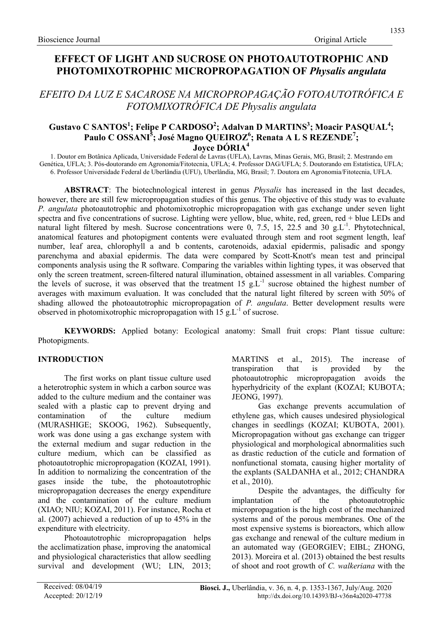# EFFECT OF LIGHT AND SUCROSE ON PHOTOAUTOTROPHIC AND PHOTOMIXOTROPHIC MICROPROPAGATION OF Physalis angulata

# EFEITO DA LUZ E SACAROSE NA MICROPROPAGAÇÃO FOTOAUTOTRÓFICA E FOTOMIXOTRÓFICA DE Physalis angulata

## Gustavo C SANTOS<sup>1</sup>; Felipe P CARDOSO<sup>2</sup>; Adalvan D MARTINS<sup>3</sup>; Moacir PASQUAL<sup>4</sup>; Paulo C OSSANI<sup>5</sup>; José Magno QUEIROZ<sup>6</sup>; Renata A L S REZENDE<sup>7</sup>; Jovce DÓRIA<sup>4</sup>

1. Doutor em Botânica Aplicada, Universidade Federal de Lavras (UFLA), Lavras, Minas Gerais, MG, Brasil; 2. Mestrando em Genética, UFLA; 3. Pós-doutorando em Agronomia/Fitotecnia, UFLA; 4. Professor DAG/UFLA; 5. Doutorando em Estatística, UFLA; 6. Professor Universidade Federal de Uberlândia (UFU), Uberlândia, MG, Brasil; 7. Doutora em Agronomia/Fitotecnia, UFLA.

ABSTRACT: The biotechnological interest in genus *Physalis* has increased in the last decades, however, there are still few micropropagation studies of this genus. The objective of this study was to evaluate P. angulata photoautotrophic and photomixotrophic micropropagation with gas exchange under seven light spectra and five concentrations of sucrose. Lighting were yellow, blue, white, red, green, red + blue LEDs and natural light filtered by mesh. Sucrose concentrations were 0, 7.5, 15, 22.5 and 30 g.L<sup>-1</sup>. Phytotechnical, anatomical features and photopigment contents were evaluated through stem and root segment length, leaf number, leaf area, chlorophyll a and b contents, carotenoids, adaxial epidermis, palisadic and spongy parenchyma and abaxial epidermis. The data were compared by Scott-Knott's mean test and principal components analysis using the R software. Comparing the variables within lighting types, it was observed that only the screen treatment, screen-filtered natural illumination, obtained assessment in all variables. Comparing the levels of sucrose, it was observed that the treatment 15 g.L<sup>-1</sup> sucrose obtained the highest number of averages with maximum evaluation. It was concluded that the natural light filtered by screen with 50% of shading allowed the photoautotrophic micropropagation of  $P$ . angulata. Better development results were observed in photomixotrophic micropropagation with  $15 \text{ g.L}^{-1}$  of sucrose.

KEYWORDS: Applied botany: Ecological anatomy: Small fruit crops: Plant tissue culture: Photopigments.

### INTRODUCTION

The first works on plant tissue culture used a heterotrophic system in which a carbon source was added to the culture medium and the container was sealed with a plastic cap to prevent drying and contamination of the culture medium (MURASHIGE; SKOOG, 1962). Subsequently, work was done using a gas exchange system with the external medium and sugar reduction in the culture medium, which can be classified as photoautotrophic micropropagation (KOZAI, 1991). In addition to normalizing the concentration of the gases inside the tube, the photoautotrophic micropropagation decreases the energy expenditure and the contamination of the culture medium (XIAO; NIU; KOZAI, 2011). For instance, Rocha et al. (2007) achieved a reduction of up to 45% in the expenditure with electricity.

Photoautotrophic micropropagation helps the acclimatization phase, improving the anatomical and physiological characteristics that allow seedling survival and development (WU; LIN, 2013; MARTINS et al., 2015). The increase of transpiration that is provided by the photoautotrophic micropropagation avoids the hyperhydricity of the explant (KOZAI; KUBOTA; JEONG, 1997).

Gas exchange prevents accumulation of ethylene gas, which causes undesired physiological changes in seedlings (KOZAI; KUBOTA, 2001). Micropropagation without gas exchange can trigger physiological and morphological abnormalities such as drastic reduction of the cuticle and formation of nonfunctional stomata, causing higher mortality of the explants (SALDANHA et al., 2012; CHANDRA et al., 2010).

Despite the advantages, the difficulty for implantation of the photoautotrophic micropropagation is the high cost of the mechanized systems and of the porous membranes. One of the most expensive systems is bioreactors, which allow gas exchange and renewal of the culture medium in an automated way (GEORGIEV; EIBL; ZHONG, 2013). Moreira et al. (2013) obtained the best results of shoot and root growth of C. walkeriana with the

1353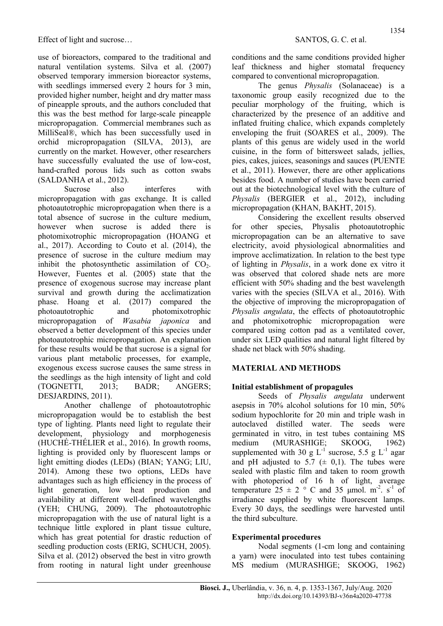use of bioreactors, compared to the traditional and natural ventilation systems. Silva et al. (2007) observed temporary immersion bioreactor systems, with seedlings immersed every 2 hours for 3 min, provided higher number, height and dry matter mass of pineapple sprouts, and the authors concluded that this was the best method for large-scale pineapple micropropagation. Commercial membranes such as MilliSeal®, which has been successfully used in orchid micropropagation (SILVA, 2013), are currently on the market. However, other researchers have successfully evaluated the use of low-cost, hand-crafted porous lids such as cotton swabs (SALDANHA et al., 2012).

Sucrose also interferes with micropropagation with gas exchange. It is called photoautotrophic micropropagation when there is a total absence of sucrose in the culture medium, however when sucrose is added there is photomixotrophic micropropagation (HOANG et al., 2017). According to Couto et al. (2014), the presence of sucrose in the culture medium may inhibit the photosynthetic assimilation of  $CO<sub>2</sub>$ . However, Fuentes et al. (2005) state that the presence of exogenous sucrose may increase plant survival and growth during the acclimatization phase. Hoang et al. (2017) compared the photoautotrophic and photomixotrophic micropropagation of Wasabia japonica and observed a better development of this species under photoautotrophic micropropagation. An explanation for these results would be that sucrose is a signal for various plant metabolic processes, for example, exogenous excess sucrose causes the same stress in the seedlings as the high intensity of light and cold (TOGNETTI, 2013; BADR; ANGERS; DESJARDINS, 2011).

Another challenge of photoautotrophic micropropagation would be to establish the best type of lighting. Plants need light to regulate their development, physiology and morphogenesis (HUCHÉ-THÉLIER et al., 2016). In growth rooms, lighting is provided only by fluorescent lamps or light emitting diodes (LEDs) (BIAN; YANG; LIU, 2014). Among these two options, LEDs have advantages such as high efficiency in the process of light generation, low heat production and availability at different well-defined wavelengths (YEH; CHUNG, 2009). The photoautotrophic micropropagation with the use of natural light is a technique little explored in plant tissue culture, which has great potential for drastic reduction of seedling production costs (ERIG, SCHUCH, 2005). Silva et al. (2012) observed the best in vitro growth from rooting in natural light under greenhouse

conditions and the same conditions provided higher leaf thickness and higher stomatal frequency compared to conventional micropropagation.

The genus Physalis (Solanaceae) is a taxonomic group easily recognized due to the peculiar morphology of the fruiting, which is characterized by the presence of an additive and inflated fruiting chalice, which expands completely enveloping the fruit (SOARES et al., 2009). The plants of this genus are widely used in the world cuisine, in the form of bittersweet salads, jellies, pies, cakes, juices, seasonings and sauces (PUENTE et al., 2011). However, there are other applications besides food. A number of studies have been carried out at the biotechnological level with the culture of Physalis (BERGIER et al., 2012), including micropropagation (KHAN, BAKHT, 2015).

Considering the excellent results observed for other species, Physalis photoautotrophic micropropagation can be an alternative to save electricity, avoid physiological abnormalities and improve acclimatization. In relation to the best type of lighting in Physalis, in a work done ex vitro it was observed that colored shade nets are more efficient with 50% shading and the best wavelength varies with the species (SILVA et al., 2016). With the objective of improving the micropropagation of Physalis angulata, the effects of photoautotrophic and photomixotrophic micropropagation were compared using cotton pad as a ventilated cover, under six LED qualities and natural light filtered by shade net black with 50% shading.

# MATERIAL AND METHODS

### Initial establishment of propagules

Seeds of Physalis angulata underwent asepsis in 70% alcohol solutions for 10 min, 50% sodium hypochlorite for 20 min and triple wash in autoclaved distilled water. The seeds were germinated in vitro, in test tubes containing MS medium (MURASHIGE; SKOOG, 1962) supplemented with 30 g L<sup>-1</sup> sucrose, 5.5 g L<sup>-1</sup> agar and pH adjusted to 5.7 ( $\pm$  0,1). The tubes were sealed with plastic film and taken to room growth with photoperiod of 16 h of light, average temperature  $25 \pm 2$  ° C and 35 µmol. m<sup>-2</sup>. s<sup>-1</sup> of irradiance supplied by white fluorescent lamps. Every 30 days, the seedlings were harvested until the third subculture.

### Experimental procedures

Nodal segments (1-cm long and containing a yarn) were inoculated into test tubes containing MS medium (MURASHIGE; SKOOG, 1962)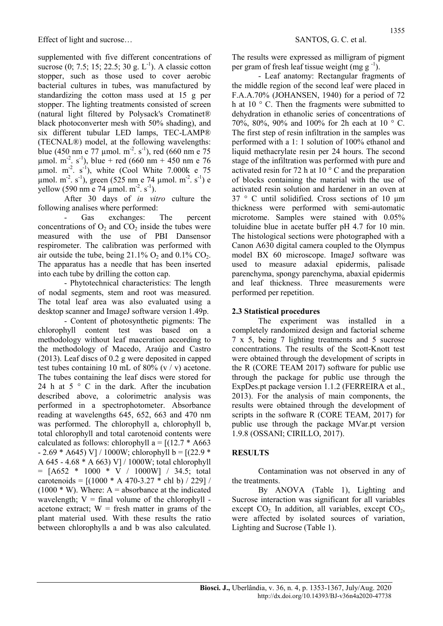supplemented with five different concentrations of sucrose  $(0; 7.5; 15; 22.5; 30 \text{ g. L}^{-1})$ . A classic cotton stopper, such as those used to cover aerobic bacterial cultures in tubes, was manufactured by standardizing the cotton mass used at 15 g per stopper. The lighting treatments consisted of screen (natural light filtered by Polysack's Cromatinet® black photoconverter mesh with 50% shading), and six different tubular LED lamps, TEC-LAMP® (TECNAL®) model, at the following wavelengths: blue (450 nm e 77 µmol. m<sup>-2</sup>. s<sup>-1</sup>), red (660 nm e 75 umol. m<sup>-2</sup>. s<sup>-1</sup>), blue + red (660 nm + 450 nm e 76 umol.  $m<sup>2</sup>$ . s<sup>-1</sup>), white (Cool White 7.000k e 75  $\mu$ mol. m<sup>-2</sup>. s<sup>-1</sup>), green (525 nm e 74  $\mu$ mol. m<sup>-2</sup>. s<sup>-1</sup>) e yellow (590 nm e 74 µmol. m<sup>-2</sup>. s<sup>-1</sup>).

After 30 days of in vitro culture the following analises where performed:

Gas exchanges: The percent concentrations of  $O_2$  and  $CO_2$  inside the tubes were measured with the use of PBI Dansensor respirometer. The calibration was performed with air outside the tube, being  $21.1\%$  O<sub>2</sub> and  $0.1\%$  CO<sub>2</sub>. The apparatus has a needle that has been inserted into each tube by drilling the cotton cap.

- Phytotechnical characteristics: The length of nodal segments, stem and root was measured. The total leaf area was also evaluated using a desktop scanner and ImageJ software version 1.49p.

- Content of photosynthetic pigments: The chlorophyll content test was based on a methodology without leaf maceration according to the methodology of Macedo, Araújo and Castro (2013). Leaf discs of 0.2 g were deposited in capped test tubes containing 10 mL of 80% (v  $/ v$ ) acetone. The tubes containing the leaf discs were stored for 24 h at  $5 \circ C$  in the dark. After the incubation described above, a colorimetric analysis was performed in a spectrophotometer. Absorbance reading at wavelengths 645, 652, 663 and 470 nm was performed. The chlorophyll a, chlorophyll b, total chlorophyll and total carotenoid contents were calculated as follows: chlorophyll a =  $[(12.7 * A663$  $- 2.69 * A645$ ) V] / 1000W; chlorophyll b =  $[(22.9 *$ A 645 - 4.68 \* A 663) V] / 1000W; total chlorophyll  $=$  [A652 \* 1000 \* V / 1000W] / 34.5; total carotenoids =  $[(1000 * A 470-3.27 * chl b) / 229] /$  $(1000 * W)$ . Where: A = absorbance at the indicated wavelength;  $V = \text{final}$  volume of the chlorophyll acetone extract;  $W =$  fresh matter in grams of the plant material used. With these results the ratio between chlorophylls a and b was also calculated. The results were expressed as milligram of pigment per gram of fresh leaf tissue weight (mg g<sup>-1</sup>).

- Leaf anatomy: Rectangular fragments of the middle region of the second leaf were placed in F.A.A.70% (JOHANSEN, 1940) for a period of 72 h at 10 ° C. Then the fragments were submitted to dehydration in ethanolic series of concentrations of 70%, 80%, 90% and 100% for 2h each at 10 ° C. The first step of resin infiltration in the samples was performed with a 1: 1 solution of 100% ethanol and liquid methacrylate resin per 24 hours. The second stage of the infiltration was performed with pure and activated resin for 72 h at  $10^{\circ}$  C and the preparation of blocks containing the material with the use of activated resin solution and hardener in an oven at 37 ° C until solidified. Cross sections of 10 μm thickness were performed with semi-automatic microtome. Samples were stained with 0.05% toluidine blue in acetate buffer pH 4.7 for 10 min. The histological sections were photographed with a Canon A630 digital camera coupled to the Olympus model BX 60 microscope. ImageJ software was used to measure adaxial epidermis, palisade parenchyma, spongy parenchyma, abaxial epidermis and leaf thickness. Three measurements were performed per repetition.

#### 2.3 Statistical procedures

The experiment was installed in a completely randomized design and factorial scheme 7 x 5, being 7 lighting treatments and 5 sucrose concentrations. The results of the Scott-Knott test were obtained through the development of scripts in the R (CORE TEAM 2017) software for public use through the package for public use through the ExpDes.pt package version 1.1.2 (FERREIRA et al., 2013). For the analysis of main components, the results were obtained through the development of scripts in the software R (CORE TEAM, 2017) for public use through the package MVar.pt version 1.9.8 (OSSANI; CIRILLO, 2017).

#### RESULTS

Contamination was not observed in any of the treatments.

By ANOVA (Table 1), Lighting and Sucrose interaction was significant for all variables except  $CO<sub>2</sub>$ . In addition, all variables, except  $CO<sub>2</sub>$ , were affected by isolated sources of variation, Lighting and Sucrose (Table 1).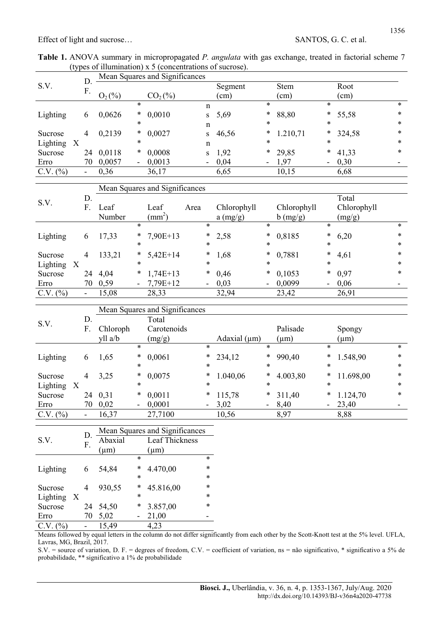| <b>Table 1.</b> ANOVA summary in micropropagated <i>P. angulata</i> with gas exchange, treated in factorial scheme 7 |                                                            |  |  |
|----------------------------------------------------------------------------------------------------------------------|------------------------------------------------------------|--|--|
|                                                                                                                      | (types of illumination) $x$ 5 (concentrations of sucrose). |  |  |

|          |                           |          | Mean Squares and Significances |                          |                                |                          |         |                          |             |                          |        |        |
|----------|---------------------------|----------|--------------------------------|--------------------------|--------------------------------|--------------------------|---------|--------------------------|-------------|--------------------------|--------|--------|
| S.V.     |                           | D.<br>F. |                                |                          |                                |                          | Segment |                          | <b>Stem</b> |                          | Root   |        |
|          |                           |          | $O_2(\%)$                      |                          | $CO2(\%)$                      |                          | (cm)    |                          | (cm)        |                          | (cm)   |        |
|          |                           |          |                                | *                        |                                | $\mathbf n$              |         | $\ast$                   |             | $\ast$                   |        | $\ast$ |
| Lighting |                           | 6        | 0,0626                         | $\ast$                   | 0,0010                         | $S_{-}$                  | 5,69    | *                        | 88,80       | $\ast$                   | 55,58  | $\ast$ |
|          |                           |          |                                | *                        |                                | $\mathbf n$              |         | $\ast$                   |             | $\ast$                   |        | $\ast$ |
| Sucrose  |                           | 4        | 0,2139                         | $\ast$                   | 0,0027                         | S.                       | 46,56   | *                        | 1.210,71    | *                        | 324,58 | $\ast$ |
| Lighting | $\boldsymbol{\mathrm{X}}$ |          |                                | *                        |                                | $\mathbf n$              |         | *                        |             | $\ast$                   |        | $\ast$ |
| Sucrose  |                           | 24       | 0,0118                         | $\ast$                   | 0,0008                         | S                        | 1,92    | $\ast$                   | 29,85       | $\ast$                   | 41,33  | $\ast$ |
| Erro     |                           | 70       | 0,0057                         | $\overline{\phantom{0}}$ | 0,0013                         | $\overline{\phantom{a}}$ | 0,04    | $\overline{\phantom{0}}$ | 1,97        | $\overline{\phantom{0}}$ | 0,30   | -      |
| C.V. (%) |                           | Ξ.       | 0,36                           |                          | 36,17                          |                          | 6,65    |                          | 10,15       |                          | 6,68   |        |
|          |                           |          |                                |                          | Mean Squares and Significances |                          |         |                          |             |                          |        |        |

| S.V.       | D.<br>F. | Leaf<br>Number |                          | Leaf<br>$\text{(mm}^2)$ | Area |            | Chlorophyll<br>a (mg/g) |        | Chlorophyll<br>b (mg/g) |                          | Total<br>Chlorophyll<br>(mg/g) |        |
|------------|----------|----------------|--------------------------|-------------------------|------|------------|-------------------------|--------|-------------------------|--------------------------|--------------------------------|--------|
|            |          |                | $\ast$                   |                         |      | *          |                         | $\ast$ |                         | $\ast$                   |                                | $\ast$ |
| Lighting   | 6        | 17,33          | ∗                        | $7,90E+13$              |      | $\ast$     | 2,58                    | *      | 0,8185                  | $\ast$                   | 6,20                           | $\ast$ |
|            |          |                | $\ast$                   |                         |      | $\ast$     |                         | $\ast$ |                         | $\ast$                   |                                | $\ast$ |
| Sucrose    | 4        | 133,21         | $\ast$                   | $5,42E+14$              |      | $\ast$     | 1,68                    | $\ast$ | 0,7881                  | $\ast$                   | 4,61                           | $\ast$ |
| Lighting X |          |                | $\ast$                   |                         |      | $\ast$     |                         | $\ast$ |                         | $\ast$                   |                                | $\ast$ |
| Sucrose    |          | 24 4,04        | *                        | $1,74E+13$              |      |            | $* 0,46$                | $\ast$ | 0,1053                  | $\ast$                   | 0,97                           | $\ast$ |
| Erro       | 70       | 0,59           | $\overline{\phantom{a}}$ | $7,79E+12$              |      | $\sim$ $-$ | 0,03                    |        | $-0,0099$               | $\overline{\phantom{a}}$ | 0,06                           |        |
| C.V. (%)   |          | 15,08          |                          | 28,33                   |      |            | 32,94                   |        | 23,42                   |                          | 26,91                          |        |

|            |  |    |          | Mean Squares and Significances |             |                          |                   |        |           |        |           |        |  |
|------------|--|----|----------|--------------------------------|-------------|--------------------------|-------------------|--------|-----------|--------|-----------|--------|--|
| S.V.       |  | D. |          |                                | Total       |                          |                   |        |           |        |           |        |  |
|            |  | F. | Chloroph |                                | Carotenoids |                          |                   |        | Palisade  |        | Spongy    |        |  |
|            |  |    | yll a/b  |                                | (mg/g)      |                          | Adaxial $(\mu m)$ |        | $(\mu m)$ |        | $(\mu m)$ |        |  |
|            |  |    |          | *                              |             | $\ast$                   |                   | $\ast$ |           | $\ast$ |           | $\ast$ |  |
| Lighting   |  | 6  | 1,65     | $\ast$                         | 0,0061      | $\ast$                   | 234,12            | $\ast$ | 990,40    | $\ast$ | 1.548,90  | $\ast$ |  |
|            |  |    |          | *                              |             | $\ast$                   |                   | *      |           | *      |           | $\ast$ |  |
| Sucrose    |  | 4  | 3,25     | $\ast$                         | 0,0075      | $\ast$                   | 1.040,06          | *      | 4.003,80  | $\ast$ | 11.698,00 | $\ast$ |  |
| Lighting X |  |    |          | *                              |             | $\ast$                   |                   | *      |           | $\ast$ |           | $\ast$ |  |
| Sucrose    |  |    | 24 0,31  | $\ast$                         | 0,0011      | $\ast$                   | 115,78            | ∗      | 311,40    | *      | 1.124,70  | $\ast$ |  |
| Erro       |  | 70 | 0,02     | $\overline{\phantom{a}}$       | 0,0001      | $\overline{\phantom{a}}$ | 3,02              | $\sim$ | 8,40      |        | $-23,40$  |        |  |
| C.V. (%)   |  | Ξ. | 16,37    |                                | 27,7100     |                          | 10,56             |        | 8,97      |        | 8,88      |        |  |

|                                       |    | Mean Squares and Significances |        |                |        |  |  |  |
|---------------------------------------|----|--------------------------------|--------|----------------|--------|--|--|--|
| S.V.                                  | D. | Abaxial                        |        | Leaf Thickness |        |  |  |  |
|                                       | F. | $(\mu m)$                      |        | $(\mu m)$      |        |  |  |  |
|                                       |    |                                | $\ast$ |                | $\ast$ |  |  |  |
| Lighting                              |    | 54,84                          | *      | 4.470,00       | $\ast$ |  |  |  |
|                                       |    |                                | *      |                | *      |  |  |  |
| Sucrose                               | 4  | 930,55                         | *      | 45.816,00      | $\ast$ |  |  |  |
| Lighting<br>$\boldsymbol{\mathrm{X}}$ |    |                                | *      |                | $\ast$ |  |  |  |
| Sucrose                               | 24 | 54,50                          | *      | 3.857,00       | *      |  |  |  |
| Erro                                  | 70 | 5,02                           |        | 21,00          |        |  |  |  |
| C.V. (%)                              |    | 15,49                          |        | 4,23           |        |  |  |  |

Means followed by equal letters in the column do not differ significantly from each other by the Scott-Knott test at the 5% level. UFLA, Lavras, MG, Brazil, 2017.

S.V. = source of variation, D. F. = degrees of freedom, C.V. = coefficient of variation, ns = não significativo, \* significativo a 5% de probabilidade, \*\* significativo a 1% de probabilidade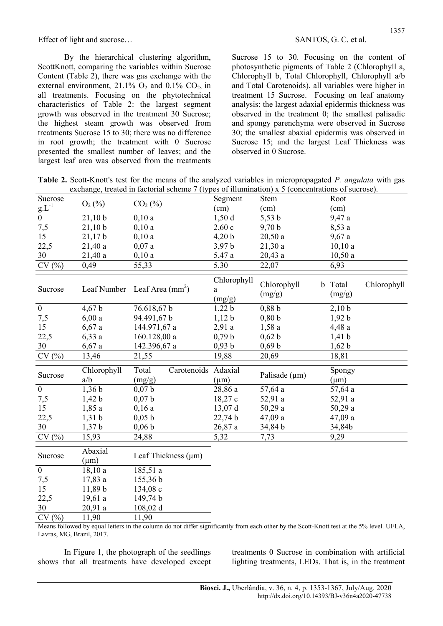By the hierarchical clustering algorithm, ScottKnott, comparing the variables within Sucrose Content (Table 2), there was gas exchange with the external environment,  $21.1\%$  O<sub>2</sub> and  $0.1\%$  CO<sub>2</sub>, in all treatments. Focusing on the phytotechnical characteristics of Table 2: the largest segment growth was observed in the treatment 30 Sucrose; the highest steam growth was observed from treatments Sucrose 15 to 30; there was no difference in root growth; the treatment with 0 Sucrose presented the smallest number of leaves; and the largest leaf area was observed from the treatments Sucrose 15 to 30. Focusing on the content of photosynthetic pigments of Table 2 (Chlorophyll a, Chlorophyll b, Total Chlorophyll, Chlorophyll a/b and Total Carotenoids), all variables were higher in treatment 15 Sucrose. Focusing on leaf anatomy analysis: the largest adaxial epidermis thickness was observed in the treatment 0; the smallest palisadic and spongy parenchyma were observed in Sucrose 30; the smallest abaxial epidermis was observed in Sucrose 15; and the largest Leaf Thickness was observed in 0 Sucrose.

Table 2. Scott-Knott's test for the means of the analyzed variables in micropropagated P. angulata with gas exchange, treated in factorial scheme 7 (types of illumination) x 5 (concentrations of sucrose).

| Sucrose                 |                      |                                       | Segment                    | Stem                  | Root              |             |
|-------------------------|----------------------|---------------------------------------|----------------------------|-----------------------|-------------------|-------------|
|                         | $O_2(\%)$            | $CO2(\%)$                             | (cm)                       | (cm)                  | (cm)              |             |
| $rac{u}{g}$ $rac{g}{0}$ | 21,10 b              | 0,10a                                 | 1,50d                      | 5,53 b                | 9,47 a            |             |
| 7,5                     | 21,10 b              | 0,10a                                 | 2,60c                      | 9,70 b                | 8,53a             |             |
| 15                      | 21,17b               | 0,10a                                 | 4,20 b                     | 20,50a                | 9,67 a            |             |
| 22,5                    | 21,40a               | 0,07a                                 | 3,97 b                     | 21,30a                | 10,10a            |             |
| 30                      | 21,40a               | 0,10a                                 | 5,47 a                     | 20,43a                | 10,50a            |             |
| CV(%)                   | 0,49                 | 55,33                                 | 5,30                       | 22,07                 | 6,93              |             |
| Sucrose                 |                      | Leaf Number Leaf Area $\text{(mm}^2)$ | Chlorophyll<br>a<br>(mg/g) | Chlorophyll<br>(mg/g) | b Total<br>(mg/g) | Chlorophyll |
| $\mathbf{0}$            | 4,67 b               | 76.618,67b                            | 1,22 b                     | $0,88$ b              | 2,10 b            |             |
| 7,5                     | 6,00a                | 94.491,67 b                           | 1,12 b                     | 0,80 b                | 1,92 b            |             |
| 15                      | $6,67$ a             | 144.971,67 a                          | 2,91a                      | 1,58a                 | 4,48 a            |             |
| 22,5                    | 6,33a                | 160.128,00 a                          | 0,79 b                     | 0,62 b                | $1,41$ b          |             |
| 30                      | $6,67$ a             | 142.396,67 a                          | 0,93 b                     | 0,69 b                | 1,62 b            |             |
| CV(%)                   | 13,46                | 21,55                                 | 19,88                      | 20,69                 | 18,81             |             |
|                         |                      |                                       |                            |                       |                   |             |
| Sucrose                 | Chlorophyll          | Carotenoids Adaxial<br>Total          |                            | Palisade $(\mu m)$    | Spongy            |             |
|                         | a/b                  | (mg/g)                                | $(\mu m)$                  |                       | $(\mu m)$         |             |
| $\mathbf{0}$            | 1,36 b               | 0,07 b                                | 28,86 a                    | 57,64 a               | 57,64 a           |             |
| 7,5                     | 1,42 b               | 0,07 b                                | 18,27c                     | 52,91 a               | 52,91 a           |             |
| 15                      | 1,85a                | 0,16a                                 | 13,07 d                    | 50,29a                | 50,29 a           |             |
| 22,5                    | 1,31 b               | 0,05 b                                | 22,74 b                    | 47,09 a               | 47,09 a           |             |
| 30                      | 1,37b                | 0,06 b                                | 26,87a                     | 34,84 b               | 34,84b            |             |
| CV(%)                   | 15,93                | 24,88                                 | 5,32                       | 7,73                  | 9,29              |             |
| Sucrose                 | Abaxial<br>$(\mu m)$ | Leaf Thickness $(\mu m)$              |                            |                       |                   |             |
| $\mathbf{0}$            | 18,10a               | 185,51 a                              |                            |                       |                   |             |
| 7,5                     | 17,83 a              | 155,36 b                              |                            |                       |                   |             |
| 15                      | 11,89 b              | 134,08 c                              |                            |                       |                   |             |
|                         |                      |                                       |                            |                       |                   |             |

30 20,91 a 108,02 d  $CV(%)$  11,90 11,90

22,5 19,61 a 149,74 b

Means followed by equal letters in the column do not differ significantly from each other by the Scott-Knott test at the 5% level. UFLA, Lavras, MG, Brazil, 2017.

In Figure 1, the photograph of the seedlings shows that all treatments have developed except treatments 0 Sucrose in combination with artificial lighting treatments, LEDs. That is, in the treatment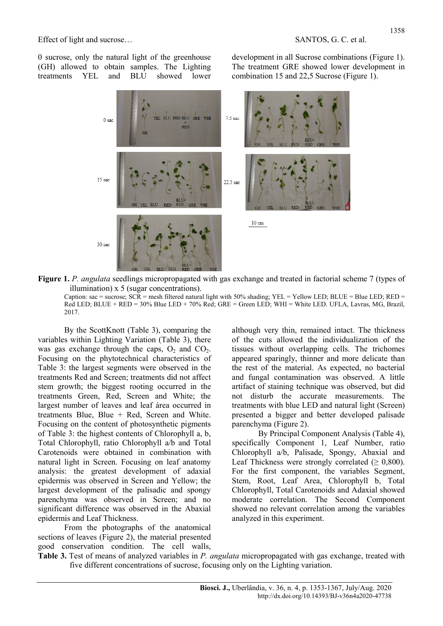0 sucrose, only the natural light of the greenhouse (GH) allowed to obtain samples. The Lighting treatments YEL and BLU showed lower development in all Sucrose combinations (Figure 1). The treatment GRE showed lower development in combination 15 and 22,5 Sucrose (Figure 1).



Figure 1. P. angulata seedlings micropropagated with gas exchange and treated in factorial scheme 7 (types of illumination) x 5 (sugar concentrations).

Caption: sac = sucrose;  $SCR$  = mesh filtered natural light with 50% shading; YEL = Yellow LED; BLUE = Blue LED; RED = Red LED; BLUE + RED = 30% Blue LED + 70% Red; GRE = Green LED; WHI = White LED. UFLA, Lavras, MG, Brazil, 2017.

By the ScottKnott (Table 3), comparing the variables within Lighting Variation (Table 3), there was gas exchange through the caps,  $O_2$  and  $CO_2$ . Focusing on the phytotechnical characteristics of Table 3: the largest segments were observed in the treatments Red and Screen; treatments did not affect stem growth; the biggest rooting occurred in the treatments Green, Red, Screen and White; the largest number of leaves and leaf área occurred in treatments Blue, Blue + Red, Screen and White. Focusing on the content of photosynthetic pigments of Table 3: the highest contents of Chlorophyll a, b, Total Chlorophyll, ratio Chlorophyll a/b and Total Carotenoids were obtained in combination with natural light in Screen. Focusing on leaf anatomy analysis: the greatest development of adaxial epidermis was observed in Screen and Yellow; the largest development of the palisadic and spongy parenchyma was observed in Screen; and no significant difference was observed in the Abaxial epidermis and Leaf Thickness.

From the photographs of the anatomical sections of leaves (Figure 2), the material presented good conservation condition. The cell walls, although very thin, remained intact. The thickness of the cuts allowed the individualization of the tissues without overlapping cells. The trichomes appeared sparingly, thinner and more delicate than the rest of the material. As expected, no bacterial and fungal contamination was observed. A little artifact of staining technique was observed, but did not disturb the accurate measurements. The treatments with blue LED and natural light (Screen) presented a bigger and better developed palisade parenchyma (Figure 2).

By Principal Component Analysis (Table 4), specifically Component 1, Leaf Number, ratio Chlorophyll a/b, Palisade, Spongy, Abaxial and Leaf Thickness were strongly correlated ( $\geq 0,800$ ). For the first component, the variables Segment, Stem, Root, Leaf Area, Chlorophyll b, Total Chlorophyll, Total Carotenoids and Adaxial showed moderate correlation. The Second Component showed no relevant correlation among the variables analyzed in this experiment.

Table 3. Test of means of analyzed variables in P. angulata micropropagated with gas exchange, treated with five different concentrations of sucrose, focusing only on the Lighting variation.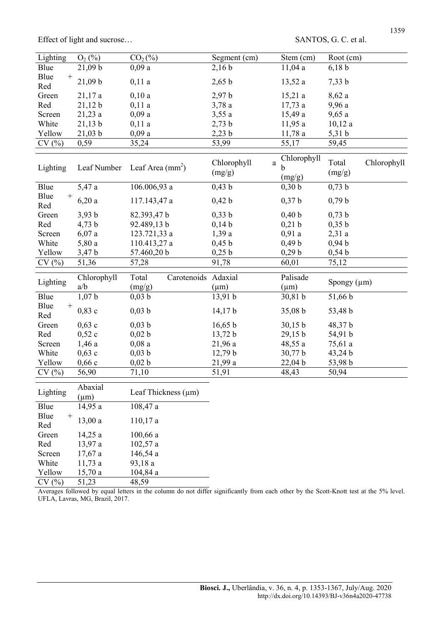| Lighting              | $O_2(%)$             | $CO2(\%)$                |                     | Segment (cm)          | Stem (cm)                              | Root (cm)        |             |
|-----------------------|----------------------|--------------------------|---------------------|-----------------------|----------------------------------------|------------------|-------------|
| Blue                  | 21,09 b              | 0,09a                    |                     | 2,16 b                | 11,04 a                                | 6,18 b           |             |
| Blue<br>$^{+}$<br>Red | 21,09 b              | 0,11a                    |                     | 2,65 b                | 13,52 a                                | 7,33 b           |             |
| Green                 | 21,17a               | 0,10a                    |                     | 2,97 b                | 15,21a                                 | $8,\!62$ a       |             |
| Red                   | 21,12 b              | 0,11a                    |                     | 3,78a                 | 17,73a                                 | 9,96 a           |             |
| Screen                | 21,23a               | 0,09a                    |                     | 3,55a                 | 15,49 a                                | 9,65a            |             |
| White                 | 21,13 b              | 0,11a                    |                     | 2,73 b                | 11,95 a                                | 10,12a           |             |
| Yellow                | 21,03 b              | 0,09a                    |                     | 2,23 b                | 11,78a                                 | $5,31$ b         |             |
| CV(%)                 | 0,59                 | 35,24                    |                     | 53,99                 | 55,17                                  | 59,45            |             |
| Lighting              | Leaf Number          | Leaf Area $(mm2)$        |                     | Chlorophyll<br>(mg/g) | Chlorophyll<br>$\rm{a}$<br>b<br>(mg/g) | Total<br>(mg/g)  | Chlorophyll |
| Blue                  | 5,47 a               | 106.006,93 a             |                     | 0,43 b                | 0,30 b                                 | 0,73 b           |             |
| Blue<br>$^+$<br>Red   | 6,20a                | 117.143,47 a             |                     | 0,42 b                | $0,37$ <sub>b</sub>                    | 0,79 b           |             |
| Green                 | 3,93 b               | 82.393,47 b              |                     | 0,33 b                | 0,40 b                                 | 0,73 b           |             |
| Red                   | $4,73$ b             | 92.489,13 b              |                     | 0,14 b                | 0,21 b                                 | 0,35 b           |             |
| Screen                | 6,07a                | 123.721,33 a             |                     | 1,39a                 | 0,91a                                  | 2,31a            |             |
| White                 | 5,80 a               | 110.413,27 a             |                     | 0,45 b                | 0,49 b                                 | 0,94 b           |             |
| Yellow                | 3,47 b               | 57.460,20 b              |                     | 0,25 b                | 0,29 b                                 | 0,54 b           |             |
| CV(%)                 | 51,36                | 57,28                    |                     | 91,78                 | 60,01                                  | 75,12            |             |
|                       |                      |                          |                     |                       |                                        |                  |             |
| Lighting              | Chlorophyll          | Total                    | Carotenoids Adaxial |                       | Palisade                               | Spongy $(\mu m)$ |             |
|                       | a/b                  | (mg/g)                   |                     | $(\mu m)$             | $(\mu m)$                              |                  |             |
| Blue                  | 1,07 b               | $0,03$ b                 |                     | 13,91 b               | 30,81 b                                | 51,66 b          |             |
| Blue<br>$^+$<br>Red   | 0,83c                | $0,03$ b                 |                     | 14,17 b               | 35,08 b                                | 53,48 b          |             |
| Green                 | 0,63c                | $0,03$ b                 |                     | 16,65 b               | 30,15 b                                | 48,37 b          |             |
| Red                   | 0,52c                | 0,02 b                   |                     | 13,72 b               | 29,15 b                                | 54,91 b          |             |
| Screen                | 1,46a                | 0,08a                    |                     | 21,96 a               | 48,55 a                                | 75,61 a          |             |
| White                 | 0,63c                | 0,03 b                   |                     | 12,79 b               | 30,77 b                                | 43,24 b          |             |
| Yellow                | 0,66c                | 0,02 b                   |                     | 21,99 a               | 22,04 b                                | 53,98 b          |             |
| CV(%)                 | 56,90                | 71,10                    |                     | 51,91                 | 48,43                                  | 50,94            |             |
| Lighting              | Abaxial<br>$(\mu m)$ | Leaf Thickness $(\mu m)$ |                     |                       |                                        |                  |             |
| Blue                  | 14,95 a              | 108,47 a                 |                     |                       |                                        |                  |             |
| Blue<br>$^+$<br>Red   | 13,00a               | 110,17a                  |                     |                       |                                        |                  |             |
| Green                 | 14,25 a              | 100,66a                  |                     |                       |                                        |                  |             |

Red 13,97 a 102,57 a Screen 17,67 a 146,54 a White 11,73 a 93,18 a Yellow 15,70 a 104,84 a  $CV(%)$  51,23 48,59

Averages followed by equal letters in the column do not differ significantly from each other by the Scott-Knott test at the 5% level. UFLA, Lavras, MG, Brazil, 2017.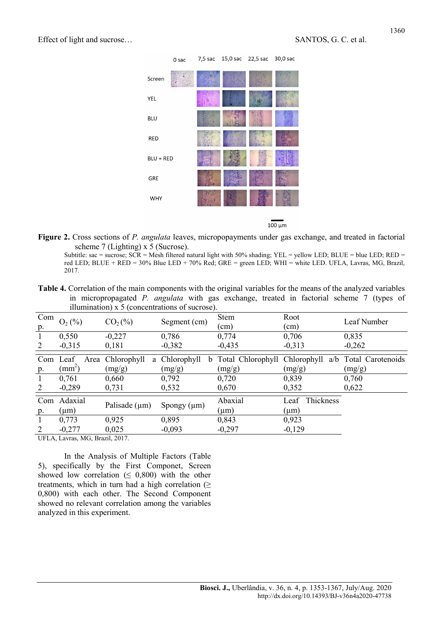

 $100 \mu m$ 

Figure 2. Cross sections of P. angulata leaves, micropopayments under gas exchange, and treated in factorial scheme 7 (Lighting) x 5 (Sucrose).

Subtitle: sac = sucrose;  $SCR$  = Mesh filtered natural light with 50% shading; YEL = yellow LED; BLUE = blue LED; RED = red LED; BLUE + RED = 30% Blue LED + 70% Red; GRE = green LED; WHI = white LED. UFLA, Lavras, MG, Brazil, 2017.

Table 4. Correlation of the main components with the original variables for the means of the analyzed variables in micropropagated P. angulata with gas exchange, treated in factorial scheme 7 (types of illumination) x 5 (concentrations of sucrose).

| Com<br>p. | $O_2(\%)$             | $CO2(\%)$                       | Segment (cm)                | <b>Stem</b><br>(cm)                         | Root<br>(cm)                   | Leaf Number                 |
|-----------|-----------------------|---------------------------------|-----------------------------|---------------------------------------------|--------------------------------|-----------------------------|
|           | 0,550                 | $-0,227$                        | 0,786                       | 0,774                                       | 0,706                          | 0,835                       |
| 2         | $-0,315$              | 0,181                           | $-0,382$                    | $-0,435$                                    | $-0,313$                       | $-0,262$                    |
| Com<br>p. | Leaf<br>$\text{(mm)}$ | Area Chlorophyll<br>a<br>(mg/g) | Chlorophyll<br>b.<br>(mg/g) | Total Chlorophyll Chlorophyll a/b<br>(mg/g) | (mg/g)                         | Total Carotenoids<br>(mg/g) |
|           | 0,761                 | 0,660                           | 0,792                       | 0,720                                       | 0,839                          | 0,760                       |
| 2         | $-0,289$              | 0,731                           | 0,532                       | 0,670                                       | 0,352                          | 0,622                       |
| Com<br>p. | Adaxial<br>$(\mu m)$  | Palisade $(\mu m)$              | Spongy $(\mu m)$            | Abaxial<br>$(\mu m)$                        | Thickness<br>Leaf<br>$(\mu m)$ |                             |
|           | 0,773                 | 0,925                           | 0,895                       | 0,843                                       | 0,923                          |                             |
|           | $-0,277$              | 0,025                           | $-0,093$                    | $-0,297$                                    | $-0,129$                       |                             |

UFLA, Lavras, MG, Brazil, 2017.

In the Analysis of Multiple Factors (Table 5), specifically by the First Componet, Screen showed low correlation ( $\leq$  0,800) with the other treatments, which in turn had a high correlation  $(≥$ 0,800) with each other. The Second Component showed no relevant correlation among the variables analyzed in this experiment.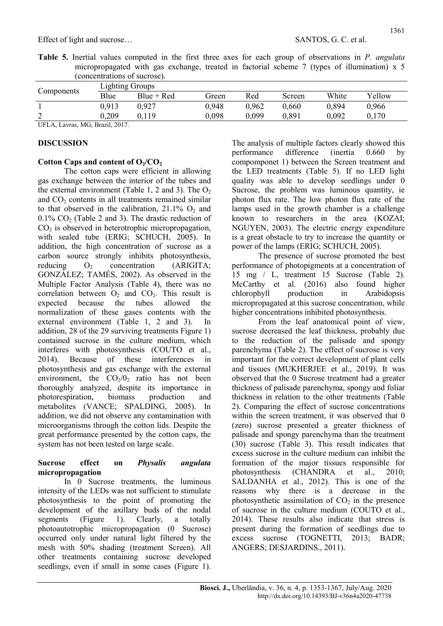Table 5. Inertial values computed in the first three axes for each group of observations in P. angulata micropropagated with gas exchange, treated in factorial scheme 7 (types of illumination) x 5 (concentrations of sucrose).

| Components                |                           | <b>Lighting Groups</b> |       |       |        |       |        |  |  |  |  |  |
|---------------------------|---------------------------|------------------------|-------|-------|--------|-------|--------|--|--|--|--|--|
|                           | Blue                      | $Blue + Red$           | Green | Red   | Screen | White | Yellow |  |  |  |  |  |
|                           | 0.913                     | 0.927                  | 0,948 | 0,962 | 0.660  | 0,894 | 0,966  |  |  |  |  |  |
| ◠<br>∸                    | 0,209                     | 0,119                  | 0.098 | 0,099 | 0.891  | 0,092 | 0,170  |  |  |  |  |  |
| <b>TIME A</b><br>$\cdots$ | $\mathbf{1}$ $\mathbf{2}$ |                        |       |       |        |       |        |  |  |  |  |  |

UFLA, Lavras, MG, Brazil, 2017.

#### DISCUSSION

## Cotton Caps and content of  $O_2/CO_2$

The cotton caps were efficient in allowing gas exchange between the interior of the tubes and the external environment (Table 1, 2 and 3). The  $O_2$ and  $CO<sub>2</sub>$  contents in all treatments remained similar to that observed in the calibration,  $21.1\%$  O<sub>2</sub> and  $0.1\%$  CO<sub>2</sub> (Table 2 and 3). The drastic reduction of  $CO<sub>2</sub>$  is observed in heterotrophic micropropagation, with sealed tube (ERIG; SCHUCH, 2005). In addition, the high concentration of sucrose as a carbon source strongly inhibits photosynthesis, reducing  $O<sub>2</sub>$  concentration (ARIGITA: GONZÁLEZ; TAMÉS, 2002). As observed in the Multiple Factor Analysis (Table 4), there was no correlation between  $O_2$  and  $CO_2$ . This result is expected because the tubes allowed the normalization of these gases contents with the external environment (Table 1, 2 and 3). In addition, 28 of the 29 surviving treatments Figure 1) contained sucrose in the culture medium, which interferes with photosynthesis (COUTO et al., 2014). Because of these interferences in photosynthesis and gas exchange with the external environment, the  $CO<sub>2</sub>/0<sub>2</sub>$  ratio has not been thoroughly analyzed, despite its importance in photorespiration, biomass production and metabolites (VANCE; SPALDING, 2005). In addition, we did not observe any contamination with microorganisms through the cotton lids. Despite the great performance presented by the cotton caps, the system has not been tested on large scale.

#### Sucrose effect on Physalis angulata micropropagation

In 0 Sucrose treatments, the luminous intensity of the LEDs was not sufficient to stimulate photosynthesis to the point of promoting the development of the axillary buds of the nodal segments (Figure 1). Clearly, a totally photoautotrophic micropropagation (0 Sucrose) occurred only under natural light filtered by the mesh with 50% shading (treatment Screen). All other treatments containing sucrose developed seedlings, even if small in some cases (Figure 1). The analysis of multiple factors clearly showed this performance difference (inertia 0.660 by compomponet 1) between the Screen treatment and the LED treatments (Table 5). If no LED light quality was able to develop seedlings under 0 Sucrose, the problem was luminous quantity, ie photon flux rate. The low photon flux rate of the lamps used in the growth chamber is a challenge known to researchers in the area (KOZAI; NGUYEN, 2003). The electric energy expenditure is a great obstacle to try to increase the quantity or power of the lamps (ERIG; SCHUCH, 2005).

The presence of sucrose promoted the best performance of photopigments at a concentration of 15 mg / L, treatment 15 Sucrose (Table 2). McCarthy et al. (2016) also found higher chlorophyll production in Arabidopsis micropropagated at this sucrose concentration, while higher concentrations inhibited photosynthesis.

From the leaf anatomical point of view, sucrose decreased the leaf thickness, probably due to the reduction of the palisade and spongy parenchyma (Table 2). The effect of sucrose is very important for the correct development of plant cells and tissues (MUKHERJEE et al., 2019). It was observed that the 0 Sucrose treatment had a greater thickness of palisade parenchyma, spongy and foliar thickness in relation to the other treatments (Table 2). Comparing the effect of sucrose concentrations within the screen treatment, it was observed that 0 (zero) sucrose presented a greater thickness of palisade and spongy parenchyma than the treatment (30) sucrose (Table 3). This result indicates that excess sucrose in the culture medium can inhibit the formation of the major tissues responsible for photosynthesis (CHANDRA et al., 2010; SALDANHA et al., 2012). This is one of the reasons why there is a decrease in the photosynthetic assimilation of  $CO<sub>2</sub>$  in the presence of sucrose in the culture medium (COUTO et al., 2014). These results also indicate that stress is present during the formation of seedlings due to excess sucrose (TOGNETTI, 2013; BADR; ANGERS; DESJARDINS., 2011).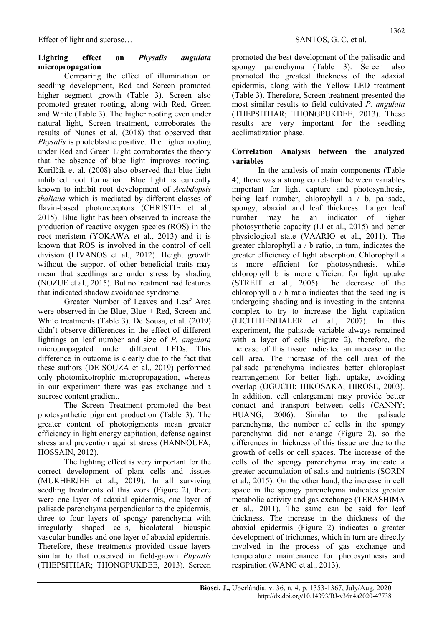### Lighting effect on Physalis angulata micropropagation

Comparing the effect of illumination on seedling development, Red and Screen promoted higher segment growth (Table 3). Screen also promoted greater rooting, along with Red, Green and White (Table 3). The higher rooting even under natural light, Screen treatment, corroborates the results of Nunes et al. (2018) that observed that Physalis is photoblastic positive. The higher rooting under Red and Green Light corroborates the theory that the absence of blue light improves rooting. Kurilčik et al. (2008) also observed that blue light inhibited root formation. Blue light is currently known to inhibit root development of Arabdopsis thaliana which is mediated by different classes of flavin-based photoreceptors (CHRISTIE et al., 2015). Blue light has been observed to increase the production of reactive oxygen species (ROS) in the root meristem (YOKAWA et al., 2013) and it is known that ROS is involved in the control of cell division (LIVANOS et al., 2012). Height growth without the support of other beneficial traits may mean that seedlings are under stress by shading (NOZUE et al., 2015). But no treatment had features that indicated shadow avoidance syndrome.

Greater Number of Leaves and Leaf Area were observed in the Blue, Blue  $+$  Red, Screen and White treatments (Table 3). De Sousa, et al. (2019) didn't observe differences in the effect of different lightings on leaf number and size of P. angulata micropropagated under different LEDs. This difference in outcome is clearly due to the fact that these authors (DE SOUZA et al., 2019) performed only photomixotrophic micropropagation, whereas in our experiment there was gas exchange and a sucrose content gradient.

The Screen Treatment promoted the best photosynthetic pigment production (Table 3). The greater content of photopigments mean greater efficiency in light energy capitation, defense against stress and prevention against stress (HANNOUFA; HOSSAIN, 2012).

The lighting effect is very important for the correct development of plant cells and tissues (MUKHERJEE et al., 2019). In all surviving seedling treatments of this work (Figure 2), there were one layer of adaxial epidermis, one layer of palisade parenchyma perpendicular to the epidermis, three to four layers of spongy parenchyma with irregularly shaped cells, bicolateral bicuspid vascular bundles and one layer of abaxial epidermis. Therefore, these treatments provided tissue layers similar to that observed in field-grown Physalis (THEPSITHAR; THONGPUKDEE, 2013). Screen promoted the best development of the palisadic and spongy parenchyma (Table 3). Screen also promoted the greatest thickness of the adaxial epidermis, along with the Yellow LED treatment (Table 3). Therefore, Screen treatment presented the most similar results to field cultivated P. angulata (THEPSITHAR; THONGPUKDEE, 2013). These results are very important for the seedling acclimatization phase.

#### Correlation Analysis between the analyzed variables

In the analysis of main components (Table 4), there was a strong correlation between variables important for light capture and photosynthesis, being leaf number, chlorophyll a / b, palisade, spongy, abaxial and leaf thickness. Larger leaf number may be an indicator of higher photosynthetic capacity (LI et al., 2015) and better physiological state (VAARIO et al., 2011). The greater chlorophyll a / b ratio, in turn, indicates the greater efficiency of light absorption. Chlorophyll a is more efficient for photosynthesis, while chlorophyll b is more efficient for light uptake (STREIT et al., 2005). The decrease of the chlorophyll a / b ratio indicates that the seedling is undergoing shading and is investing in the antenna complex to try to increase the light capitation (LICHTHENHALER et al., 2007). In this experiment, the palisade variable always remained with a layer of cells (Figure 2), therefore, the increase of this tissue indicated an increase in the cell area. The increase of the cell area of the palisade parenchyma indicates better chloroplast rearrangement for better light uptake, avoiding overlap (OGUCHI; HIKOSAKA; HIROSE, 2003). In addition, cell enlargement may provide better contact and transport between cells (CANNY; HUANG, 2006). Similar to the palisade parenchyma, the number of cells in the spongy parenchyma did not change (Figure 2), so the differences in thickness of this tissue are due to the growth of cells or cell spaces. The increase of the cells of the spongy parenchyma may indicate a greater accumulation of salts and nutrients (SORIN et al., 2015). On the other hand, the increase in cell space in the spongy parenchyma indicates greater metabolic activity and gas exchange (TERASHIMA et al., 2011). The same can be said for leaf thickness. The increase in the thickness of the abaxial epidermis (Figure 2) indicates a greater development of trichomes, which in turn are directly involved in the process of gas exchange and temperature maintenance for photosynthesis and respiration (WANG et al., 2013).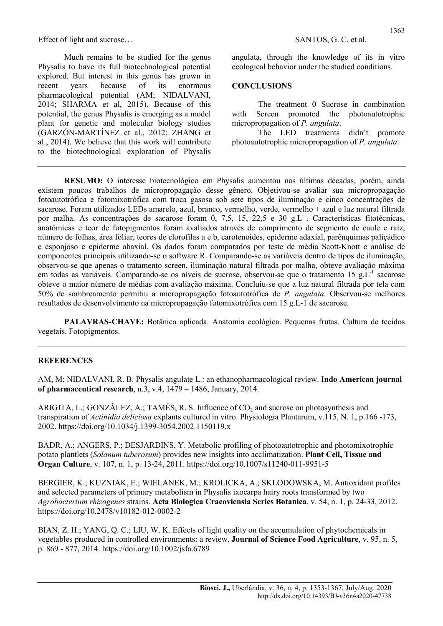Much remains to be studied for the genus Physalis to have its full biotechnological potential explored. But interest in this genus has grown in recent years because of its enormous pharmacological potential (AM; NIDALVANI, 2014; SHARMA et al, 2015). Because of this potential, the genus Physalis is emerging as a model plant for genetic and molecular biology studies (GARZÓN-MARTÍNEZ et al., 2012; ZHANG et al., 2014). We believe that this work will contribute to the biotechnological exploration of Physalis

angulata, through the knowledge of its in vitro ecological behavior under the studied conditions.

#### **CONCLUSIONS**

The treatment 0 Sucrose in combination with Screen promoted the photoautotrophic micropropagation of P. angulata.

The LED treatments didn't promote photoautotrophic micropropagation of P. angulata.

RESUMO: O interesse biotecnológico em Physalis aumentou nas últimas décadas, porém, ainda existem poucos trabalhos de micropropagação desse gênero. Objetivou-se avaliar sua micropropagação fotoautotrófica e fotomixotrófica com troca gasosa sob sete tipos de iluminação e cinco concentrações de sacarose. Foram utilizados LEDs amarelo, azul, branco, vermelho, verde, vermelho + azul e luz natural filtrada por malha. As concentrações de sacarose foram 0, 7,5, 15, 22,5 e 30 g.L<sup>-1</sup>. Características fitotécnicas, anatômicas e teor de fotopigmentos foram avaliados através de comprimento de segmento de caule e raíz, número de folhas, área foliar, teores de clorofilas a e b, carotenoides, epiderme adaxial, parênquimas paliçádico e esponjoso e epiderme abaxial. Os dados foram comparados por teste de média Scott-Knott e análise de componentes principais utilizando-se o software R. Comparando-se as variáveis dentro de tipos de iluminação, observou-se que apenas o tratamento screen, iluminação natural filtrada por malha, obteve avaliação máxima em todas as variáveis. Comparando-se os níveis de sucrose, observou-se que o tratamento 15 g.L<sup>-1</sup> sacarose obteve o maior número de médias com avaliação máxima. Concluiu-se que a luz natural filtrada por tela com 50% de sombreamento permitiu a micropropagação fotoautotrófica de P. angulata. Observou-se melhores resultados de desenvolvimento na micropropagação fotomixotrófica com 15 g.L-1 de sacarose.

PALAVRAS-CHAVE: Botânica aplicada. Anatomia ecológica. Pequenas frutas. Cultura de tecidos vegetais. Fotopigmentos.

#### **REFERENCES**

AM, M; NIDALVANI, R. B. Physalis angulate L.: an ethanopharmacological review. **Indo American journal** of pharmaceutical research, n.3, v.4,  $1479 - 1486$ , January,  $2014$ .

ARIGITA, L.; GONZÁLEZ, A.; TAMÉS, R. S. Influence of  $CO<sub>2</sub>$  and sucrose on photosynthesis and transpiration of Actinidia deliciosa explants cultured in vitro. Physiologia Plantarum, v.115, N. 1, p.166 -173, 2002. https://doi.org/10.1034/j.1399-3054.2002.1150119.x

BADR, A.; ANGERS, P.; DESJARDINS, Y. Metabolic profiling of photoautotrophic and photomixotrophic potato plantlets (Solanum tuberosum) provides new insights into acclimatization. **Plant Cell, Tissue and** Organ Culture, v. 107, n. 1, p. 13-24, 2011. https://doi.org/10.1007/s11240-011-9951-5

BERGIER, K.; KUZNIAK, E.; WIELANEK, M.; KROLICKA, A.; SKLODOWSKA, M. Antioxidant profiles and selected parameters of primary metabolism in Physalis ixocarpa hairy roots transformed by two Agrobacterium rhizogenes strains. Acta Biologica Cracoviensia Series Botanica, v. 54, n. 1, p. 24-33, 2012. https://doi.org/10.2478/v10182-012-0002-2

BIAN, Z. H.; YANG, Q. C.; LIU, W. K. Effects of light quality on the accumulation of phytochemicals in vegetables produced in controlled environments: a review. Journal of Science Food Agriculture, v. 95, n. 5, p. 869 - 877, 2014. https://doi.org/10.1002/jsfa.6789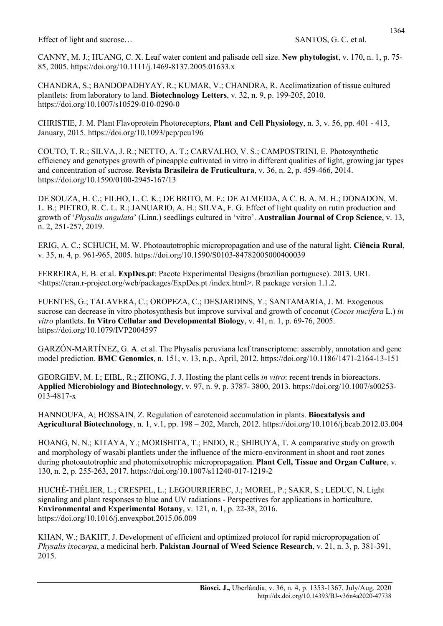CHANDRA, S.; BANDOPADHYAY, R.; KUMAR, V.; CHANDRA, R. Acclimatization of tissue cultured plantlets: from laboratory to land. Biotechnology Letters, v. 32, n. 9, p. 199-205, 2010. https://doi.org/10.1007/s10529-010-0290-0

CHRISTIE, J. M. Plant Flavoprotein Photoreceptors, Plant and Cell Physiology, n. 3, v. 56, pp. 401 - 413, January, 2015. https://doi.org/10.1093/pcp/pcu196

COUTO, T. R.; SILVA, J. R.; NETTO, A. T.; CARVALHO, V. S.; CAMPOSTRINI, E. Photosynthetic efficiency and genotypes growth of pineapple cultivated in vitro in different qualities of light, growing jar types and concentration of sucrose. Revista Brasileira de Fruticultura, v. 36, n. 2, p. 459-466, 2014. https://doi.org/10.1590/0100-2945-167/13

DE SOUZA, H. C.; FILHO, L. C. K.; DE BRITO, M. F.; DE ALMEIDA, A C. B. A. M. H.; DONADON, M. L. B.; PIETRO, R. C. L. R.; JANUARIO, A. H.; SILVA, F. G. Effect of light quality on rutin production and growth of 'Physalis angulata' (Linn.) seedlings cultured in 'vitro'. Australian Journal of Crop Science, v. 13, n. 2, 251-257, 2019.

ERIG, A. C.; SCHUCH, M. W. Photoautotrophic micropropagation and use of the natural light. Ciência Rural, v. 35, n. 4, p. 961-965, 2005. https://doi.org/10.1590/S0103-84782005000400039

FERREIRA, E. B. et al. ExpDes.pt: Pacote Experimental Designs (brazilian portuguese). 2013. URL <https://cran.r-project.org/web/packages/ExpDes.pt /index.html>. R package version 1.1.2.

FUENTES, G.; TALAVERA, C.; OROPEZA, C.; DESJARDINS, Y.; SANTAMARIA, J. M. Exogenous sucrose can decrease in vitro photosynthesis but improve survival and growth of coconut (*Cocos nucifera* L.) in vitro plantlets. In Vitro Cellular and Developmental Biology, v. 41, n. 1, p. 69-76, 2005. https://doi.org/10.1079/IVP2004597

GARZÓN-MARTÍNEZ, G. A. et al. The Physalis peruviana leaf transcriptome: assembly, annotation and gene model prediction. BMC Genomics, n. 151, v. 13, n.p., April, 2012. https://doi.org/10.1186/1471-2164-13-151

GEORGIEV, M. I.; EIBL, R.; ZHONG, J. J. Hosting the plant cells in vitro: recent trends in bioreactors. Applied Microbiology and Biotechnology, v. 97, n. 9, p. 3787- 3800, 2013. https://doi.org/10.1007/s00253- 013-4817-x

HANNOUFA, A; HOSSAIN, Z. Regulation of carotenoid accumulation in plants. Biocatalysis and Agricultural Biotechnology, n. 1, v.1, pp. 198 – 202, March, 2012. https://doi.org/10.1016/j.bcab.2012.03.004

HOANG, N. N.; KITAYA, Y.; MORISHITA, T.; ENDO, R.; SHIBUYA, T. A comparative study on growth and morphology of wasabi plantlets under the influence of the micro-environment in shoot and root zones during photoautotrophic and photomixotrophic micropropagation. Plant Cell, Tissue and Organ Culture, v. 130, n. 2, p. 255-263, 2017. https://doi.org/10.1007/s11240-017-1219-2

HUCHÉ-THÉLIER, L.; CRESPEL, L.; LEGOURRIEREC, J.; MOREL, P.; SAKR, S.; LEDUC, N. Light signaling and plant responses to blue and UV radiations - Perspectives for applications in horticulture. Environmental and Experimental Botany, v. 121, n. 1, p. 22-38, 2016. https://doi.org/10.1016/j.envexpbot.2015.06.009

KHAN, W.; BAKHT, J. Development of efficient and optimized protocol for rapid micropropagation of Physalis ixocarpa, a medicinal herb. Pakistan Journal of Weed Science Research, v. 21, n. 3, p. 381-391, 2015.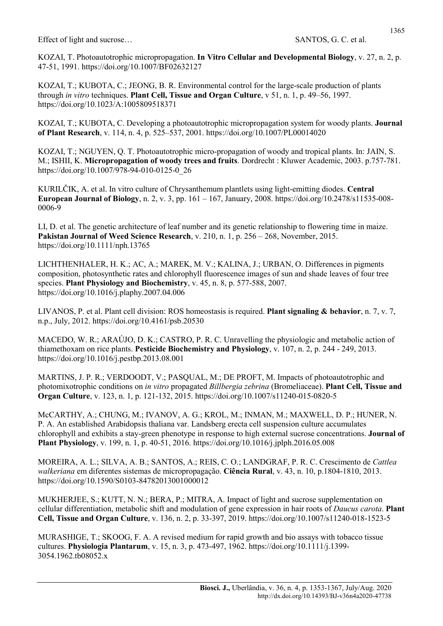KOZAI, T. Photoautotrophic micropropagation. In Vitro Cellular and Developmental Biology, v. 27, n. 2, p. 47-51, 1991. https://doi.org/10.1007/BF02632127

KOZAI, T.; KUBOTA, C.; JEONG, B. R. Environmental control for the large-scale production of plants through in vitro techniques. Plant Cell, Tissue and Organ Culture,  $v$  51, n. 1, p. 49–56, 1997. https://doi.org/10.1023/A:1005809518371

KOZAI, T.; KUBOTA, C. Developing a photoautotrophic micropropagation system for woody plants. Journal of Plant Research, v. 114, n. 4, p. 525–537, 2001. https://doi.org/10.1007/PL00014020

KOZAI, T.; NGUYEN, Q. T. Photoautotrophic micro-propagation of woody and tropical plants. In: JAIN, S. M.; ISHII, K. Micropropagation of woody trees and fruits. Dordrecht : Kluwer Academic, 2003. p.757-781. https://doi.org/10.1007/978-94-010-0125-0\_26

KURILČIK, A. et al. In vitro culture of Chrysanthemum plantlets using light-emitting diodes. Central European Journal of Biology, n. 2, v. 3, pp. 161 – 167, January, 2008. https://doi.org/10.2478/s11535-008- 0006-9

LI, D. et al. The genetic architecture of leaf number and its genetic relationship to flowering time in maize. Pakistan Journal of Weed Science Research, v. 210, n. 1, p. 256 – 268, November, 2015. https://doi.org/10.1111/nph.13765

LICHTHENHALER, H. K.; AC, A.; MAREK, M. V.; KALINA, J.; URBAN, O. Differences in pigments composition, photosynthetic rates and chlorophyll fluorescence images of sun and shade leaves of four tree species. Plant Physiology and Biochemistry, v. 45, n. 8, p. 577-588, 2007. https://doi.org/10.1016/j.plaphy.2007.04.006

LIVANOS, P. et al. Plant cell division: ROS homeostasis is required. **Plant signaling & behavior**, n. 7, v. 7, n.p., July, 2012. https://doi.org/10.4161/psb.20530

MACEDO, W. R.; ARAÚJO, D. K.; CASTRO, P. R. C. Unravelling the physiologic and metabolic action of thiamethoxam on rice plants. Pesticide Biochemistry and Physiology, v. 107, n. 2, p. 244 - 249, 2013. https://doi.org/10.1016/j.pestbp.2013.08.001

MARTINS, J. P. R.; VERDOODT, V.; PASQUAL, M.; DE PROFT, M. Impacts of photoautotrophic and photomixotrophic conditions on in vitro propagated Billbergia zebrina (Bromeliaceae). Plant Cell, Tissue and Organ Culture, v. 123, n. 1, p. 121-132, 2015. https://doi.org/10.1007/s11240-015-0820-5

McCARTHY, A.; CHUNG, M.; IVANOV, A. G.; KROL, M.; INMAN, M.; MAXWELL, D. P.; HUNER, N. P. A. An established Arabidopsis thaliana var. Landsberg erecta cell suspension culture accumulates chlorophyll and exhibits a stay-green phenotype in response to high external sucrose concentrations. Journal of Plant Physiology, v. 199, n. 1, p. 40-51, 2016. https://doi.org/10.1016/j.jplph.2016.05.008

MOREIRA, A. L.; SILVA, A. B.; SANTOS, A.; REIS, C. O.; LANDGRAF, P. R. C. Crescimento de Cattlea walkeriana em diferentes sistemas de micropropagação. Ciência Rural, v. 43, n. 10, p.1804-1810, 2013. https://doi.org/10.1590/S0103-84782013001000012

MUKHERJEE, S.; KUTT, N. N.; BERA, P.; MITRA, A. Impact of light and sucrose supplementation on cellular differentiation, metabolic shift and modulation of gene expression in hair roots of Daucus carota. Plant Cell, Tissue and Organ Culture, v. 136, n. 2, p. 33-397, 2019. https://doi.org/10.1007/s11240-018-1523-5

MURASHIGE, T.; SKOOG, F. A. A revised medium for rapid growth and bio assays with tobacco tissue cultures. Physiologia Plantarum, v. 15, n. 3, p. 473-497, 1962. https://doi.org/10.1111/j.1399- 3054.1962.tb08052.x

1365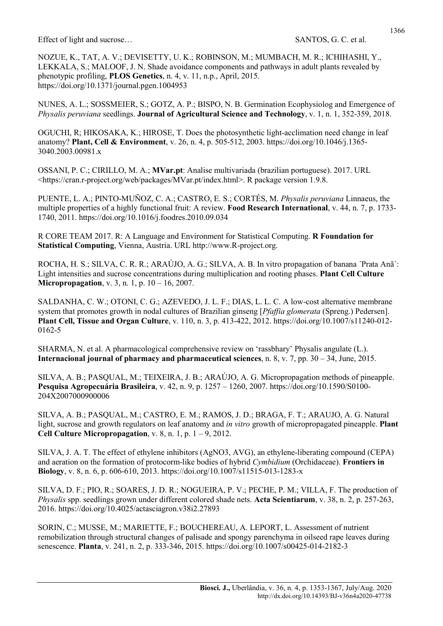NOZUE, K., TAT, A. V.; DEVISETTY, U. K.; ROBINSON, M.; MUMBACH, M. R.; ICHIHASHI, Y., LEKKALA, S.; MALOOF, J. N. Shade avoidance components and pathways in adult plants revealed by phenotypic profiling, PLOS Genetics, n. 4, v. 11, n.p., April, 2015. https://doi.org/10.1371/journal.pgen.1004953

NUNES, A. L.; SOSSMEIER, S.; GOTZ, A. P.; BISPO, N. B. Germination Ecophysiolog and Emergence of Physalis peruviana seedlings. Journal of Agricultural Science and Technology, v. 1, n. 1, 352-359, 2018.

OGUCHI, R; HIKOSAKA, K.; HIROSE, T. Does the photosynthetic light-acclimation need change in leaf anatomy? Plant, Cell & Environment, v. 26, n. 4, p. 505-512, 2003. https://doi.org/10.1046/j.1365- 3040.2003.00981.x

OSSANI, P. C.; CIRILLO, M. A.; MVar.pt: Analise multivariada (brazilian portuguese). 2017. URL <https://cran.r-project.org/web/packages/MVar.pt/index.html>. R package version 1.9.8.

PUENTE, L. A.; PINTO-MUÑOZ, C. A.; CASTRO, E. S.; CORTÉS, M. *Physalis peruviana* Linnaeus, the multiple properties of a highly functional fruit: A review. Food Research International, v. 44, n. 7, p. 1733- 1740, 2011. https://doi.org/10.1016/j.foodres.2010.09.034

R CORE TEAM 2017. R: A Language and Environment for Statistical Computing. R Foundation for Statistical Computing, Vienna, Austria. URL http://www.R-project.org.

ROCHA, H. S.; SILVA, C. R. R.; ARAÚJO, A. G.; SILVA, A. B. In vitro propagation of banana ´Prata Anã´: Light intensities and sucrose concentrations during multiplication and rooting phases. Plant Cell Culture **Micropropagation,** v. 3, n. 1, p.  $10 - 16$ , 2007.

SALDANHA, C. W.; OTONI, C. G.; AZEVEDO, J. L. F.; DIAS, L. L. C. A low-cost alternative membrane system that promotes growth in nodal cultures of Brazilian ginseng [*Pfaffia glomerata* (Spreng.) Pedersen]. Plant Cell, Tissue and Organ Culture, v. 110, n. 3, p. 413-422, 2012. https://doi.org/10.1007/s11240-012- 0162-5

SHARMA, N. et al. A pharmacological comprehensive review on 'rassbhary' Physalis angulate (L.). Internacional journal of pharmacy and pharmaceutical sciences, n. 8, v. 7, pp.  $30 - 34$ , June,  $2015$ .

SILVA, A. B.; PASQUAL, M.; TEIXEIRA, J. B.; ARAÚJO, A. G. Micropropagation methods of pineapple. Pesquisa Agropecuária Brasileira, v. 42, n. 9, p. 1257 – 1260, 2007. https://doi.org/10.1590/S0100- 204X2007000900006

SILVA, A. B.; PASQUAL, M.; CASTRO, E. M.; RAMOS, J. D.; BRAGA, F. T.; ARAUJO, A. G. Natural light, sucrose and growth regulators on leaf anatomy and in vitro growth of micropropagated pineapple. Plant Cell Culture Micropropagation, v. 8, n. 1, p.  $1 - 9$ , 2012.

SILVA, J. A. T. The effect of ethylene inhibitors (AgNO3, AVG), an ethylene-liberating compound (CEPA) and aeration on the formation of protocorm-like bodies of hybrid Cymbidium (Orchidaceae). Frontiers in Biology, v. 8, n. 6, p. 606-610, 2013. https://doi.org/10.1007/s11515-013-1283-x

SILVA, D. F.; PIO, R.; SOARES, J. D. R.; NOGUEIRA, P. V.; PECHE, P. M.; VILLA, F. The production of Physalis spp. seedlings grown under different colored shade nets. Acta Scientiarum, v. 38, n. 2, p. 257-263, 2016. https://doi.org/10.4025/actasciagron.v38i2.27893

SORIN, C.; MUSSE, M.; MARIETTE, F.; BOUCHEREAU, A. LEPORT, L. Assessment of nutrient remobilization through structural changes of palisade and spongy parenchyma in oilseed rape leaves during senescence. Planta, v. 241, n. 2, p. 333-346, 2015. https://doi.org/10.1007/s00425-014-2182-3